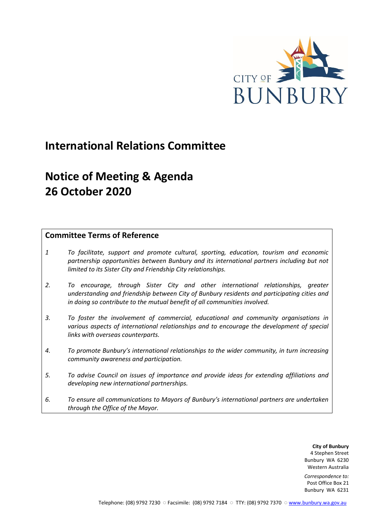

## **International Relations Committee**

# **Notice of Meeting & Agenda 26 October 2020**

## **Committee Terms of Reference**

- *1 To facilitate, support and promote cultural, sporting, education, tourism and economic partnership opportunities between Bunbury and its international partners including but not limited to its Sister City and Friendship City relationships.*
- *2. To encourage, through Sister City and other international relationships, greater understanding and friendship between City of Bunbury residents and participating cities and in doing so contribute to the mutual benefit of all communities involved.*
- *3. To foster the involvement of commercial, educational and community organisations in various aspects of international relationships and to encourage the development of special links with overseas counterparts.*
- *4. To promote Bunbury's international relationships to the wider community, in turn increasing community awareness and participation.*
- *5. To advise Council on issues of importance and provide ideas for extending affiliations and developing new international partnerships.*
- *6. To ensure all communications to Mayors of Bunbury's international partners are undertaken through the Office of the Mayor.*

**City of Bunbury** 4 Stephen Street Bunbury WA 6230 Western Australia

*Correspondence to:* Post Office Box 21 Bunbury WA 6231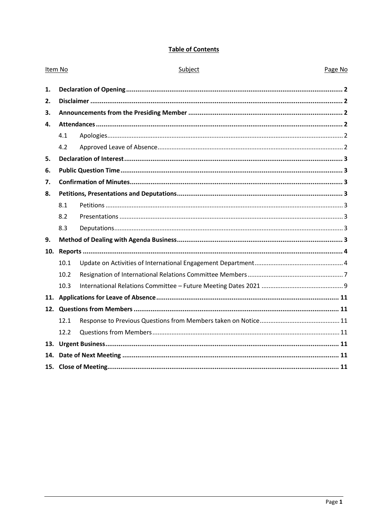## **Table of Contents**

| Item No |      | Subject | Page No |
|---------|------|---------|---------|
| 1.      |      |         |         |
| 2.      |      |         |         |
| 3.      |      |         |         |
| 4.      |      |         |         |
|         | 4.1  |         |         |
|         | 4.2  |         |         |
| 5.      |      |         |         |
| 6.      |      |         |         |
| 7.      |      |         |         |
| 8.      |      |         |         |
|         | 8.1  |         |         |
|         | 8.2  |         |         |
|         | 8.3  |         |         |
| 9.      |      |         |         |
| 10.     |      |         |         |
|         | 10.1 |         |         |
|         | 10.2 |         |         |
|         | 10.3 |         |         |
|         |      |         |         |
|         |      |         |         |
|         | 12.1 |         |         |
|         | 12.2 |         |         |
| 13.     |      |         |         |
| 14.     |      |         |         |
|         |      |         |         |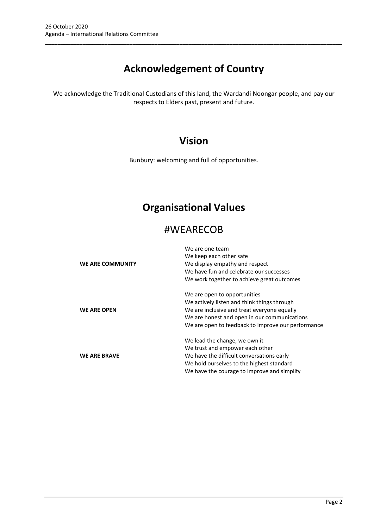# **Acknowledgement of Country**

\_\_\_\_\_\_\_\_\_\_\_\_\_\_\_\_\_\_\_\_\_\_\_\_\_\_\_\_\_\_\_\_\_\_\_\_\_\_\_\_\_\_\_\_\_\_\_\_\_\_\_\_\_\_\_\_\_\_\_\_\_\_\_\_\_\_\_\_\_\_\_\_\_\_\_\_\_\_\_\_\_\_\_\_\_\_\_\_\_\_\_\_\_\_\_

We acknowledge the Traditional Custodians of this land, the Wardandi Noongar people, and pay our respects to Elders past, present and future.

## **Vision**

Bunbury: welcoming and full of opportunities.

## **Organisational Values**

## #WEARECOB

|                     | We are one team                                    |
|---------------------|----------------------------------------------------|
|                     | We keep each other safe                            |
| WE ARE COMMUNITY    | We display empathy and respect                     |
|                     | We have fun and celebrate our successes            |
|                     | We work together to achieve great outcomes         |
|                     | We are open to opportunities                       |
|                     | We actively listen and think things through        |
| <b>WE ARE OPEN</b>  | We are inclusive and treat everyone equally        |
|                     | We are honest and open in our communications       |
|                     | We are open to feedback to improve our performance |
|                     | We lead the change, we own it                      |
|                     | We trust and empower each other                    |
| <b>WE ARE BRAVE</b> | We have the difficult conversations early          |
|                     | We hold ourselves to the highest standard          |
|                     | We have the courage to improve and simplify        |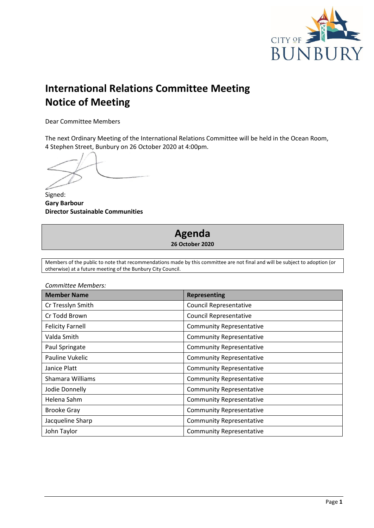

# **International Relations Committee Meeting Notice of Meeting**

Dear Committee Members

The next Ordinary Meeting of the International Relations Committee will be held in the Ocean Room, 4 Stephen Street, Bunbury on 26 October 2020 at 4:00pm.

Signed: **Gary Barbour Director Sustainable Communities**

## **Agenda 26 October 2020**

Members of the public to note that recommendations made by this committee are not final and will be subject to adoption (or otherwise) at a future meeting of the Bunbury City Council.

| <b>Member Name</b>      | <b>Representing</b>             |
|-------------------------|---------------------------------|
| Cr Tresslyn Smith       | <b>Council Representative</b>   |
| Cr Todd Brown           | <b>Council Representative</b>   |
| <b>Felicity Farnell</b> | <b>Community Representative</b> |
| Valda Smith             | <b>Community Representative</b> |
| Paul Springate          | <b>Community Representative</b> |
| Pauline Vukelic         | <b>Community Representative</b> |
| Janice Platt            | <b>Community Representative</b> |
| Shamara Williams        | <b>Community Representative</b> |
| Jodie Donnelly          | <b>Community Representative</b> |
| Helena Sahm             | <b>Community Representative</b> |
| <b>Brooke Gray</b>      | <b>Community Representative</b> |
| Jacqueline Sharp        | <b>Community Representative</b> |
| John Taylor             | <b>Community Representative</b> |

*Committee Members:*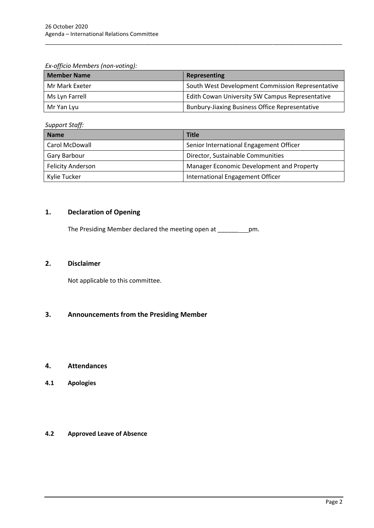*Ex-officio Members (non-voting):*

| <b>Member Name</b> | Representing                                          |
|--------------------|-------------------------------------------------------|
| Mr Mark Exeter     | South West Development Commission Representative      |
| Ms Lyn Farrell     | Edith Cowan University SW Campus Representative       |
| Mr Yan Lyu         | <b>Bunbury-Jiaxing Business Office Representative</b> |

\_\_\_\_\_\_\_\_\_\_\_\_\_\_\_\_\_\_\_\_\_\_\_\_\_\_\_\_\_\_\_\_\_\_\_\_\_\_\_\_\_\_\_\_\_\_\_\_\_\_\_\_\_\_\_\_\_\_\_\_\_\_\_\_\_\_\_\_\_\_\_\_\_\_\_\_\_\_\_\_\_\_\_\_\_\_\_\_\_\_\_\_\_\_\_

*Support Staff:*

| $v_{\mu\nu}$ , $v_{\nu}$ , $v_{\nu}$ |                                           |  |
|--------------------------------------|-------------------------------------------|--|
| <b>Name</b>                          | <b>Title</b>                              |  |
| Carol McDowall                       | Senior International Engagement Officer   |  |
| Gary Barbour                         | Director, Sustainable Communities         |  |
| <b>Felicity Anderson</b>             | Manager Economic Development and Property |  |
| Kylie Tucker                         | International Engagement Officer          |  |

## <span id="page-4-0"></span>**1. Declaration of Opening**

The Presiding Member declared the meeting open at \_\_\_\_\_\_ pm.

## <span id="page-4-1"></span>**2. Disclaimer**

Not applicable to this committee.

## <span id="page-4-2"></span>**3. Announcements from the Presiding Member**

#### <span id="page-4-3"></span>**4. Attendances**

<span id="page-4-4"></span>**4.1 Apologies**

#### <span id="page-4-5"></span>**4.2 Approved Leave of Absence**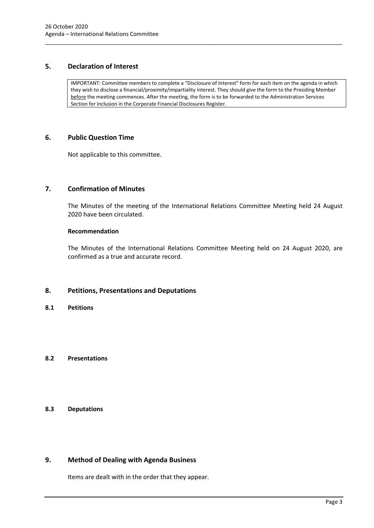## <span id="page-5-0"></span>**5. Declaration of Interest**

IMPORTANT: Committee members to complete a "Disclosure of Interest" form for each item on the agenda in which they wish to disclose a financial/proximity/impartiality interest. They should give the form to the Presiding Member before the meeting commences. After the meeting, the form is to be forwarded to the Administration Services Section for inclusion in the Corporate Financial Disclosures Register.

\_\_\_\_\_\_\_\_\_\_\_\_\_\_\_\_\_\_\_\_\_\_\_\_\_\_\_\_\_\_\_\_\_\_\_\_\_\_\_\_\_\_\_\_\_\_\_\_\_\_\_\_\_\_\_\_\_\_\_\_\_\_\_\_\_\_\_\_\_\_\_\_\_\_\_\_\_\_\_\_\_\_\_\_\_\_\_\_\_\_\_\_\_\_\_

## <span id="page-5-1"></span>**6. Public Question Time**

Not applicable to this committee.

## <span id="page-5-2"></span>**7. Confirmation of Minutes**

The Minutes of the meeting of the International Relations Committee Meeting held 24 August 2020 have been circulated.

#### **Recommendation**

The Minutes of the International Relations Committee Meeting held on 24 August 2020, are confirmed as a true and accurate record.

#### <span id="page-5-3"></span>**8. Petitions, Presentations and Deputations**

<span id="page-5-4"></span>**8.1 Petitions**

## <span id="page-5-5"></span>**8.2 Presentations**

## <span id="page-5-6"></span>**8.3 Deputations**

## <span id="page-5-7"></span>**9. Method of Dealing with Agenda Business**

Items are dealt with in the order that they appear.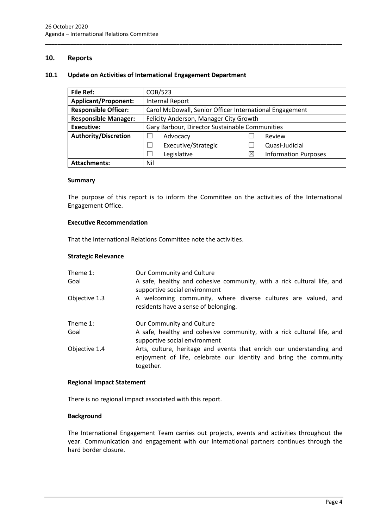## <span id="page-6-0"></span>**10. Reports**

#### <span id="page-6-1"></span>**10.1 Update on Activities of International Engagement Department**

| <b>File Ref:</b>            | COB/523                                                 |          |                             |
|-----------------------------|---------------------------------------------------------|----------|-----------------------------|
| <b>Applicant/Proponent:</b> | <b>Internal Report</b>                                  |          |                             |
| <b>Responsible Officer:</b> | Carol McDowall, Senior Officer International Engagement |          |                             |
| <b>Responsible Manager:</b> | Felicity Anderson, Manager City Growth                  |          |                             |
| <b>Executive:</b>           | Gary Barbour, Director Sustainable Communities          |          |                             |
| <b>Authority/Discretion</b> | Advocacy                                                |          | Review                      |
|                             | Executive/Strategic                                     |          | Quasi-Judicial              |
|                             | Legislative                                             | $\times$ | <b>Information Purposes</b> |
| <b>Attachments:</b>         | Nil                                                     |          |                             |

\_\_\_\_\_\_\_\_\_\_\_\_\_\_\_\_\_\_\_\_\_\_\_\_\_\_\_\_\_\_\_\_\_\_\_\_\_\_\_\_\_\_\_\_\_\_\_\_\_\_\_\_\_\_\_\_\_\_\_\_\_\_\_\_\_\_\_\_\_\_\_\_\_\_\_\_\_\_\_\_\_\_\_\_\_\_\_\_\_\_\_\_\_\_\_

#### **Summary**

The purpose of this report is to inform the Committee on the activities of the International Engagement Office.

#### **Executive Recommendation**

That the International Relations Committee note the activities.

#### **Strategic Relevance**

| Theme 1:      | Our Community and Culture                                                                                                                              |
|---------------|--------------------------------------------------------------------------------------------------------------------------------------------------------|
| Goal          | A safe, healthy and cohesive community, with a rick cultural life, and<br>supportive social environment                                                |
| Objective 1.3 | A welcoming community, where diverse cultures are valued, and<br>residents have a sense of belonging.                                                  |
| Theme 1:      | Our Community and Culture                                                                                                                              |
| Goal          | A safe, healthy and cohesive community, with a rick cultural life, and<br>supportive social environment                                                |
| Objective 1.4 | Arts, culture, heritage and events that enrich our understanding and<br>enjoyment of life, celebrate our identity and bring the community<br>together. |

#### **Regional Impact Statement**

There is no regional impact associated with this report.

#### **Background**

The International Engagement Team carries out projects, events and activities throughout the year. Communication and engagement with our international partners continues through the hard border closure.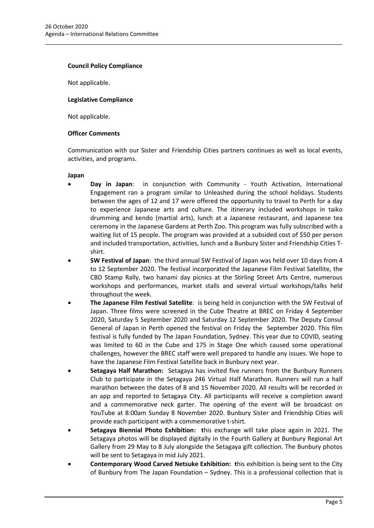#### **Council Policy Compliance**

Not applicable.

#### **Legislative Compliance**

Not applicable.

#### **Officer Comments**

Communication with our Sister and Friendship Cities partners continues as well as local events, activities, and programs.

\_\_\_\_\_\_\_\_\_\_\_\_\_\_\_\_\_\_\_\_\_\_\_\_\_\_\_\_\_\_\_\_\_\_\_\_\_\_\_\_\_\_\_\_\_\_\_\_\_\_\_\_\_\_\_\_\_\_\_\_\_\_\_\_\_\_\_\_\_\_\_\_\_\_\_\_\_\_\_\_\_\_\_\_\_\_\_\_\_\_\_\_\_\_\_

#### **Japan**

- **Day in Japan**: in conjunction with Community Youth Activation, International Engagement ran a program similar to Unleashed during the school holidays. Students between the ages of 12 and 17 were offered the opportunity to travel to Perth for a day to experience Japanese arts and culture. The itinerary included workshops in taiko drumming and kendo (martial arts), lunch at a Japanese restaurant, and Japanese tea ceremony in the Japanese Gardens at Perth Zoo. This program was fully subscribed with a waiting list of 15 people. The program was provided at a subsided cost of \$50 per person and included transportation, activities, lunch and a Bunbury Sister and Friendship Cities Tshirt.
- **SW Festival of Japan**: the third annual SW Festival of Japan was held over 10 days from 4 to 12 September 2020. The festival incorporated the Japanese Film Festival Satellite, the CBD Stamp Rally, two hanami day picnics at the Stirling Street Arts Centre, numerous workshops and performances, market stalls and several virtual workshops/talks held throughout the week.
- **The Japanese Film Festival Satellite**: is being held in conjunction with the SW Festival of Japan. Three films were screened in the Cube Theatre at BREC on Friday 4 September 2020, Saturday 5 September 2020 and Saturday 12 September 2020. The Deputy Consul General of Japan in Perth opened the festival on Friday the September 2020. This film festival is fully funded by The Japan Foundation, Sydney. This year due to COVID, seating was limited to 60 in the Cube and 175 in Stage One which caused some operational challenges, however the BREC staff were well prepared to handle any issues. We hope to have the Japanese Film Festival Satellite back in Bunbury next year.
- **Setagaya Half Marathon:** Setagaya has invited five runners from the Bunbury Runners Club to participate in the Setagaya 246 Virtual Half Marathon. Runners will run a half marathon between the dates of 8 and 15 November 2020. All results will be recorded in an app and reported to Setagaya City. All participants will receive a completion award and a commemorative neck garter. The opening of the event will be broadcast on YouTube at 8:00am Sunday 8 November 2020. Bunbury Sister and Friendship Cities will provide each participant with a commemorative t-shirt.
- **Setagaya Biennial Photo Exhibition: t**his exchange will take place again in 2021. The Setagaya photos will be displayed digitally in the Fourth Gallery at Bunbury Regional Art Gallery from 29 May to 8 July alongside the Setagaya gift collection. The Bunbury photos will be sent to Setagaya in mid July 2021.
- **Contemporary Wood Carved Netsuke Exhibition: t**his exhibition is being sent to the City of Bunbury from The Japan Foundation – Sydney. This is a professional collection that is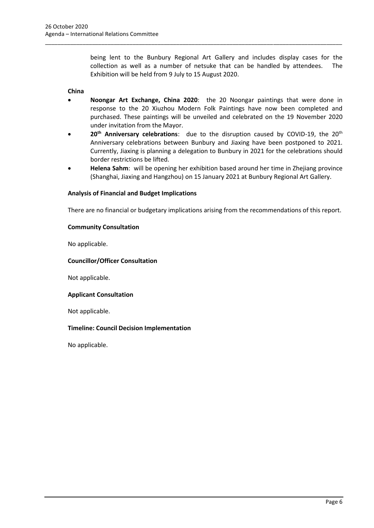being lent to the Bunbury Regional Art Gallery and includes display cases for the collection as well as a number of netsuke that can be handled by attendees. The Exhibition will be held from 9 July to 15 August 2020.

#### **China**

• **Noongar Art Exchange, China 2020**: the 20 Noongar paintings that were done in response to the 20 Xiuzhou Modern Folk Paintings have now been completed and purchased. These paintings will be unveiled and celebrated on the 19 November 2020 under invitation from the Mayor.

\_\_\_\_\_\_\_\_\_\_\_\_\_\_\_\_\_\_\_\_\_\_\_\_\_\_\_\_\_\_\_\_\_\_\_\_\_\_\_\_\_\_\_\_\_\_\_\_\_\_\_\_\_\_\_\_\_\_\_\_\_\_\_\_\_\_\_\_\_\_\_\_\_\_\_\_\_\_\_\_\_\_\_\_\_\_\_\_\_\_\_\_\_\_\_

- 20<sup>th</sup> Anniversary celebrations: due to the disruption caused by COVID-19, the 20<sup>th</sup> Anniversary celebrations between Bunbury and Jiaxing have been postponed to 2021. Currently, Jiaxing is planning a delegation to Bunbury in 2021 for the celebrations should border restrictions be lifted.
- **Helena Sahm**: will be opening her exhibition based around her time in Zhejiang province (Shanghai, Jiaxing and Hangzhou) on 15 January 2021 at Bunbury Regional Art Gallery.

## **Analysis of Financial and Budget Implications**

There are no financial or budgetary implications arising from the recommendations of this report.

## **Community Consultation**

No applicable.

## **Councillor/Officer Consultation**

Not applicable.

#### **Applicant Consultation**

Not applicable.

## **Timeline: Council Decision Implementation**

No applicable.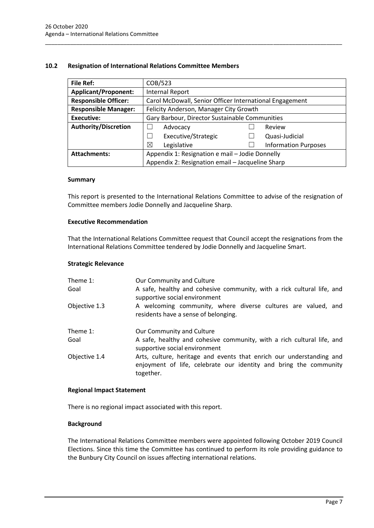## <span id="page-9-0"></span>**10.2 Resignation of International Relations Committee Members**

| <b>File Ref:</b>            | COB/523                                                 |  |                             |
|-----------------------------|---------------------------------------------------------|--|-----------------------------|
| <b>Applicant/Proponent:</b> | <b>Internal Report</b>                                  |  |                             |
| <b>Responsible Officer:</b> | Carol McDowall, Senior Officer International Engagement |  |                             |
| <b>Responsible Manager:</b> | Felicity Anderson, Manager City Growth                  |  |                             |
| Executive:                  | Gary Barbour, Director Sustainable Communities          |  |                             |
| <b>Authority/Discretion</b> | Advocacy                                                |  | Review                      |
|                             | Executive/Strategic<br>$\overline{\phantom{a}}$         |  | Quasi-Judicial              |
|                             | ⊠<br>Legislative                                        |  | <b>Information Purposes</b> |
| <b>Attachments:</b>         | Appendix 1: Resignation e mail - Jodie Donnelly         |  |                             |
|                             | Appendix 2: Resignation email - Jacqueline Sharp        |  |                             |

\_\_\_\_\_\_\_\_\_\_\_\_\_\_\_\_\_\_\_\_\_\_\_\_\_\_\_\_\_\_\_\_\_\_\_\_\_\_\_\_\_\_\_\_\_\_\_\_\_\_\_\_\_\_\_\_\_\_\_\_\_\_\_\_\_\_\_\_\_\_\_\_\_\_\_\_\_\_\_\_\_\_\_\_\_\_\_\_\_\_\_\_\_\_\_

#### **Summary**

This report is presented to the International Relations Committee to advise of the resignation of Committee members Jodie Donnelly and Jacqueline Sharp.

#### **Executive Recommendation**

That the International Relations Committee request that Council accept the resignations from the International Relations Committee tendered by Jodie Donnelly and Jacqueline Smart.

#### **Strategic Relevance**

| Theme 1:<br>Goal | Our Community and Culture<br>A safe, healthy and cohesive community, with a rick cultural life, and<br>supportive social environment                   |  |  |
|------------------|--------------------------------------------------------------------------------------------------------------------------------------------------------|--|--|
| Objective 1.3    | A welcoming community, where diverse cultures are valued, and<br>residents have a sense of belonging.                                                  |  |  |
| Theme 1:         | Our Community and Culture                                                                                                                              |  |  |
| Goal             | A safe, healthy and cohesive community, with a rich cultural life, and<br>supportive social environment                                                |  |  |
| Objective 1.4    | Arts, culture, heritage and events that enrich our understanding and<br>enjoyment of life, celebrate our identity and bring the community<br>together. |  |  |

#### **Regional Impact Statement**

There is no regional impact associated with this report.

#### **Background**

The International Relations Committee members were appointed following October 2019 Council Elections. Since this time the Committee has continued to perform its role providing guidance to the Bunbury City Council on issues affecting international relations.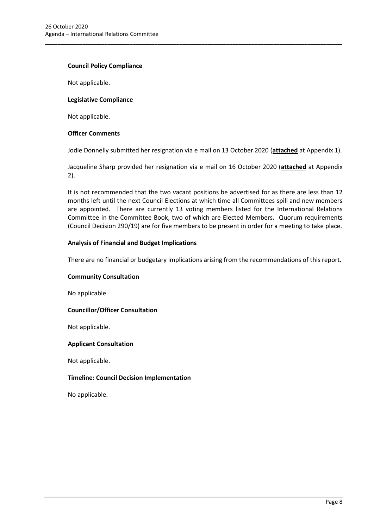#### **Council Policy Compliance**

Not applicable.

#### **Legislative Compliance**

Not applicable.

#### **Officer Comments**

Jodie Donnelly submitted her resignation via e mail on 13 October 2020 (**attached** at Appendix 1).

\_\_\_\_\_\_\_\_\_\_\_\_\_\_\_\_\_\_\_\_\_\_\_\_\_\_\_\_\_\_\_\_\_\_\_\_\_\_\_\_\_\_\_\_\_\_\_\_\_\_\_\_\_\_\_\_\_\_\_\_\_\_\_\_\_\_\_\_\_\_\_\_\_\_\_\_\_\_\_\_\_\_\_\_\_\_\_\_\_\_\_\_\_\_\_

Jacqueline Sharp provided her resignation via e mail on 16 October 2020 (**attached** at Appendix 2).

It is not recommended that the two vacant positions be advertised for as there are less than 12 months left until the next Council Elections at which time all Committees spill and new members are appointed. There are currently 13 voting members listed for the International Relations Committee in the Committee Book, two of which are Elected Members. Quorum requirements (Council Decision 290/19) are for five members to be present in order for a meeting to take place.

#### **Analysis of Financial and Budget Implications**

There are no financial or budgetary implications arising from the recommendations of this report.

#### **Community Consultation**

No applicable.

#### **Councillor/Officer Consultation**

Not applicable.

#### **Applicant Consultation**

Not applicable.

#### **Timeline: Council Decision Implementation**

No applicable.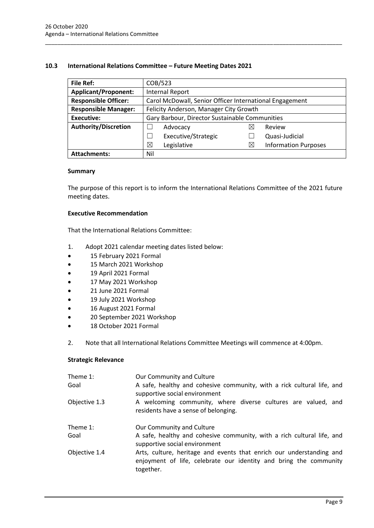## <span id="page-11-0"></span>**10.3 International Relations Committee – Future Meeting Dates 2021**

| <b>File Ref:</b>            | COB/523                                                 |   |                             |
|-----------------------------|---------------------------------------------------------|---|-----------------------------|
| <b>Applicant/Proponent:</b> | <b>Internal Report</b>                                  |   |                             |
| <b>Responsible Officer:</b> | Carol McDowall, Senior Officer International Engagement |   |                             |
| <b>Responsible Manager:</b> | Felicity Anderson, Manager City Growth                  |   |                             |
| <b>Executive:</b>           | Gary Barbour, Director Sustainable Communities          |   |                             |
| <b>Authority/Discretion</b> | Advocacy                                                | ⋉ | Review                      |
|                             | Executive/Strategic                                     |   | Quasi-Judicial              |
|                             | ⊠<br>Legislative                                        | ⋉ | <b>Information Purposes</b> |
| <b>Attachments:</b>         | Nil                                                     |   |                             |

\_\_\_\_\_\_\_\_\_\_\_\_\_\_\_\_\_\_\_\_\_\_\_\_\_\_\_\_\_\_\_\_\_\_\_\_\_\_\_\_\_\_\_\_\_\_\_\_\_\_\_\_\_\_\_\_\_\_\_\_\_\_\_\_\_\_\_\_\_\_\_\_\_\_\_\_\_\_\_\_\_\_\_\_\_\_\_\_\_\_\_\_\_\_\_

#### **Summary**

The purpose of this report is to inform the International Relations Committee of the 2021 future meeting dates.

#### **Executive Recommendation**

That the International Relations Committee:

- 1. Adopt 2021 calendar meeting dates listed below:
- 15 February 2021 Formal
- 15 March 2021 Workshop
- 19 April 2021 Formal
- 17 May 2021 Workshop
- 21 June 2021 Formal
- 19 July 2021 Workshop
- 16 August 2021 Formal
- 20 September 2021 Workshop
- 18 October 2021 Formal
- 2. Note that all International Relations Committee Meetings will commence at 4:00pm.

#### **Strategic Relevance**

| Theme 1:<br>Goal | Our Community and Culture<br>A safe, healthy and cohesive community, with a rick cultural life, and<br>supportive social environment                   |
|------------------|--------------------------------------------------------------------------------------------------------------------------------------------------------|
| Objective 1.3    | A welcoming community, where diverse cultures are valued, and<br>residents have a sense of belonging.                                                  |
| Theme 1:<br>Goal | Our Community and Culture<br>A safe, healthy and cohesive community, with a rich cultural life, and<br>supportive social environment                   |
| Objective 1.4    | Arts, culture, heritage and events that enrich our understanding and<br>enjoyment of life, celebrate our identity and bring the community<br>together. |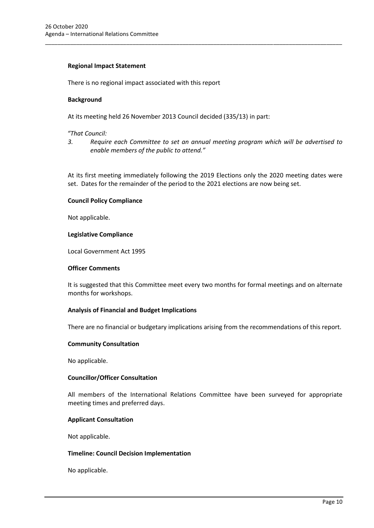#### **Regional Impact Statement**

There is no regional impact associated with this report

#### **Background**

At its meeting held 26 November 2013 Council decided (335/13) in part:

#### *"That Council:*

*3. Require each Committee to set an annual meeting program which will be advertised to enable members of the public to attend."*

\_\_\_\_\_\_\_\_\_\_\_\_\_\_\_\_\_\_\_\_\_\_\_\_\_\_\_\_\_\_\_\_\_\_\_\_\_\_\_\_\_\_\_\_\_\_\_\_\_\_\_\_\_\_\_\_\_\_\_\_\_\_\_\_\_\_\_\_\_\_\_\_\_\_\_\_\_\_\_\_\_\_\_\_\_\_\_\_\_\_\_\_\_\_\_

At its first meeting immediately following the 2019 Elections only the 2020 meeting dates were set. Dates for the remainder of the period to the 2021 elections are now being set.

## **Council Policy Compliance**

Not applicable.

## **Legislative Compliance**

Local Government Act 1995

#### **Officer Comments**

It is suggested that this Committee meet every two months for formal meetings and on alternate months for workshops.

## **Analysis of Financial and Budget Implications**

There are no financial or budgetary implications arising from the recommendations of this report.

#### **Community Consultation**

No applicable.

#### **Councillor/Officer Consultation**

All members of the International Relations Committee have been surveyed for appropriate meeting times and preferred days.

#### **Applicant Consultation**

Not applicable.

#### **Timeline: Council Decision Implementation**

No applicable.